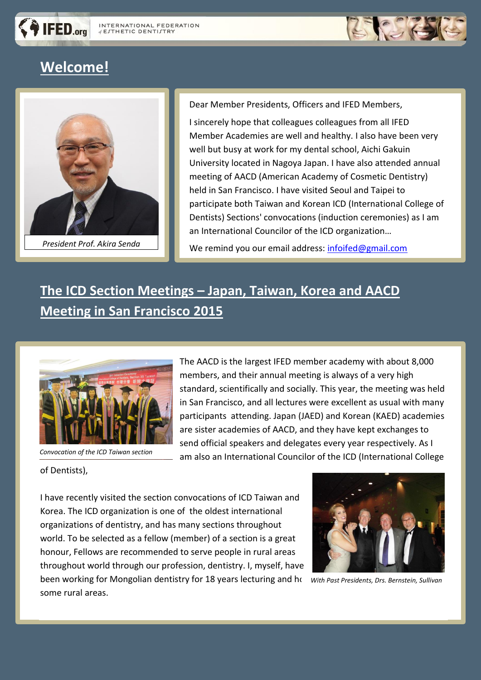

# **Welcome!**

IFED.org



Dear Member Presidents, Officers and IFED Members,

I sincerely hope that colleagues colleagues from all IFED Member Academies are well and healthy. I also have been very well but busy at work for my dental school, Aichi Gakuin University located in Nagoya Japan. I have also attended annual meeting of AACD (American Academy of Cosmetic Dentistry) held in San Francisco. I have visited Seoul and Taipei to participate both Taiwan and Korean ICD (International College of Dentists) Sections' convocations (induction ceremonies) as I am an International Councilor of the ICD organization…

President Prof. Akira Senda<br>*President Prof. Akira Senda* **Profession Pressure Pression** We remind you our email address: [infoifed@gmail.com](mailto:infoifed@gmail.com)

# **The ICD Section Meetings – Japan, Taiwan, Korea and AACD Meeting in San Francisco 2015**



 *Convocation of the ICD Taiwan section*

The AACD is the largest IFED member academy with about 8,000 members, and their annual meeting is always of a very high standard, scientifically and socially. This year, the meeting was held in San Francisco, and all lectures were excellent as usual with many participants attending. Japan (JAED) and Korean (KAED) academies are sister academies of AACD, and they have kept exchanges to send official speakers and delegates every year respectively. As I am also an International Councilor of the ICD (International College

of Dentists),

I have recently visited the section convocations of ICD Taiwan and Korea. The ICD organization is one of the oldest international organizations of dentistry, and has many sections throughout world. To be selected as a fellow (member) of a section is a great honour, Fellows are recommended to serve people in rural areas throughout world through our profession, dentistry. I, myself, have been working for Mongolian dentistry for 18 years lecturing and ho some rural areas.



 *With Past Presidents, Drs. Bernstein, Sullivan*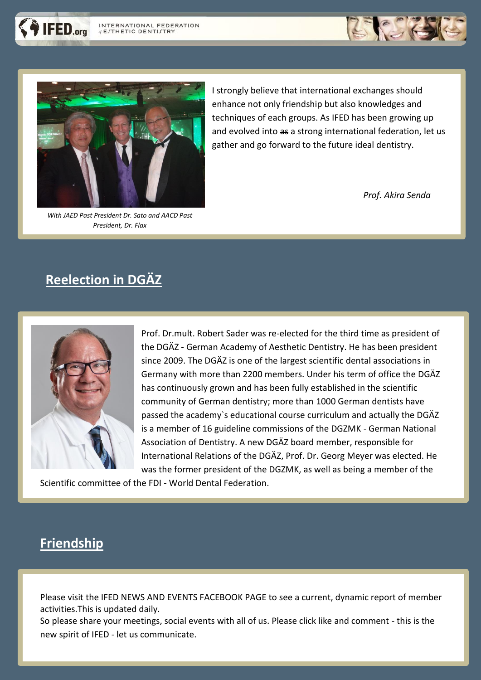



*With JAED Past President Dr. Sato and AACD Past President, Dr. Flax*

I strongly believe that international exchanges should enhance not only friendship but also knowledges and techniques of each groups. As IFED has been growing up and evolved into as a strong international federation, let us gather and go forward to the future ideal dentistry.

 *Prof. Akira Senda*

## **Reelection in DGÄZ**



Prof. Dr.mult. Robert Sader was re-elected for the third time as president of the DGÄZ - German Academy of Aesthetic Dentistry. He has been president since 2009. The DGÄZ is one of the largest scientific dental associations in Germany with more than 2200 members. Under his term of office the DGÄZ has continuously grown and has been fully established in the scientific community of German dentistry; more than 1000 German dentists have passed the academy`s educational course curriculum and actually the DGÄZ is a member of 16 guideline commissions of the DGZMK - German National Association of Dentistry. A new DGÄZ board member, responsible for International Relations of the DGÄZ, Prof. Dr. Georg Meyer was elected. He was the former president of the DGZMK, as well as being a member of the

Scientific committee of the FDI - World Dental Federation.

## **Friendship**

Please visit the IFED NEWS AND EVENTS FACEBOOK PAGE to see a current, dynamic report of member activities.This is updated daily.

So please share your meetings, social events with all of us. Please click like and comment - this is the new spirit of IFED - let us communicate.